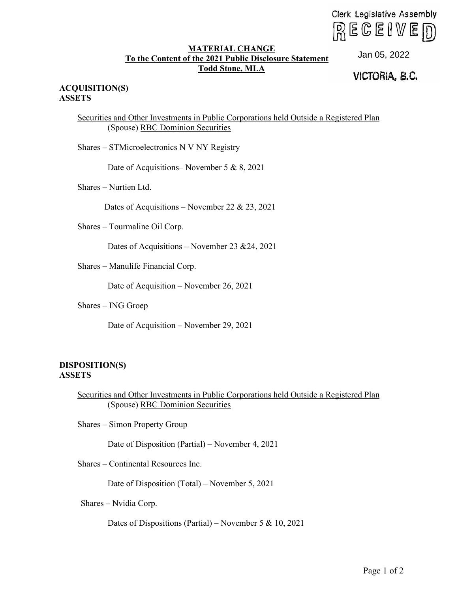$R \in \mathbb{G}$  enverong

## **MATERIAL CHANGE** To the Content of the 2021 Public Disclosure Statement **Todd Stone, MLA**

Jan 05, 2022<br>**VICTORIA, B.C.** 

## **ACQUISITION(S) ASSETS**

Securities and Other Investments in Public Corporations held Outside a Registered Plan (Spouse) RBC Dominion Securities

Shares – STMicroelectronics N V NY Registry

Date of Acquisitions– November 5 & 8, 2021

Shares – Nurtien Ltd.

Dates of Acquisitions – November 22 & 23, 2021

Shares – Tourmaline Oil Corp.

Dates of Acquisitions – November 23 &24, 2021

Shares – Manulife Financial Corp.

Date of Acquisition – November 26, 2021

Shares – ING Groep

Date of Acquisition – November 29, 2021

## **DISPOSITION(S) ASSETS**

Securities and Other Investments in Public Corporations held Outside a Registered Plan (Spouse) RBC Dominion Securities Clerk Legislative Assembly<br>
To the Content of the 2021 Public Christment Statement<br>
Total Stones, MLA<br>
Total Stones, MLA<br>
UGTORIA, B.C.<br>
SYNGTORIA, B.C.<br>
SYNGTORIA, B.C.<br>
SYNGTORIA, B.C.<br>
SYNGTORIA, B.C.<br>
Date of Acquisit

Shares – Simon Property Group

Date of Disposition (Partial) – November 4, 2021

Shares – Continental Resources Inc.

Date of Disposition (Total) – November 5, 2021

Shares – Nvidia Corp.